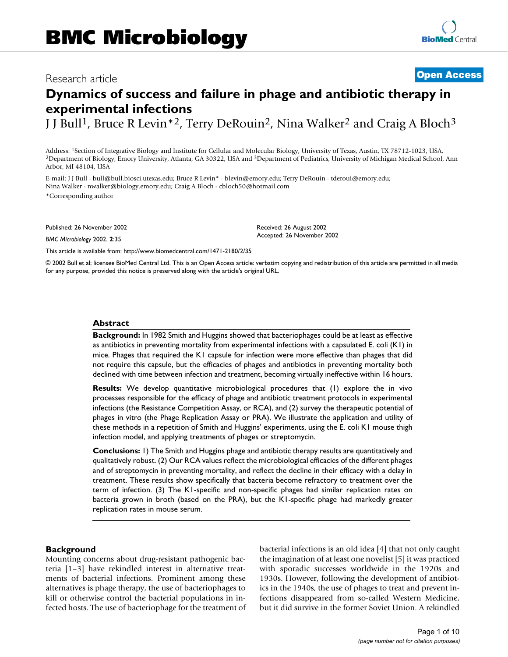# Research article **Contract Contract Contract Contract Contract Contract Contract Contract Contract Contract Contract Contract Contract Contract Contract Contract Contract Contract Contract Contract Contract Contract Contra**

# **Dynamics of success and failure in phage and antibiotic therapy in experimental infections**

J J Bull1, Bruce R Levin\*2, Terry DeRouin2, Nina Walker2 and Craig A Bloch3

Address: <sup>1</sup>Section of Integrative Biology and Institute for Cellular and Molecular Biology, University of Texas, Austin, TX 78712-1023, USA,<br><sup>2</sup>Department of Biology, Emory University, Atlanta, GA 30322, USA and <sup>3</sup>Depart Arbor, MI 48104, USA

E-mail: J J Bull - bull@bull.biosci.utexas.edu; Bruce R Levin\* - blevin@emory.edu; Terry DeRouin - tderoui@emory.edu; Nina Walker - nwalker@biology.emory.edu; Craig A Bloch - cbloch50@hotmail.com \*Corresponding author

Published: 26 November 2002

*BMC Microbiology* 2002, **2**:35

Received: 26 August 2002 Accepted: 26 November 2002

[This article is available from: http://www.biomedcentral.com/1471-2180/2/35](http://www.biomedcentral.com/1471-2180/2/35)

© 2002 Bull et al; licensee BioMed Central Ltd. This is an Open Access article: verbatim copying and redistribution of this article are permitted in all media for any purpose, provided this notice is preserved along with the article's original URL.

#### **Abstract**

**Background:** In 1982 Smith and Huggins showed that bacteriophages could be at least as effective as antibiotics in preventing mortality from experimental infections with a capsulated E. coli (K1) in mice. Phages that required the K1 capsule for infection were more effective than phages that did not require this capsule, but the efficacies of phages and antibiotics in preventing mortality both declined with time between infection and treatment, becoming virtually ineffective within 16 hours.

**Results:** We develop quantitative microbiological procedures that (1) explore the in vivo processes responsible for the efficacy of phage and antibiotic treatment protocols in experimental infections (the Resistance Competition Assay, or RCA), and (2) survey the therapeutic potential of phages in vitro (the Phage Replication Assay or PRA). We illustrate the application and utility of these methods in a repetition of Smith and Huggins' experiments, using the E. coli K1 mouse thigh infection model, and applying treatments of phages or streptomycin.

**Conclusions:** 1) The Smith and Huggins phage and antibiotic therapy results are quantitatively and qualitatively robust. (2) Our RCA values reflect the microbiological efficacies of the different phages and of streptomycin in preventing mortality, and reflect the decline in their efficacy with a delay in treatment. These results show specifically that bacteria become refractory to treatment over the term of infection. (3) The K1-specific and non-specific phages had similar replication rates on bacteria grown in broth (based on the PRA), but the K1-specific phage had markedly greater replication rates in mouse serum.

### **Background**

[Mounting concerns about drug-resistant pathogenic bac](http://www.phage.org)teria [1–3] have rekindled interest in alternative treatments of bacterial infections. Prominent among these alternatives is phage therapy, the use of bacteriophages to kill or otherwise control the bacterial populations in infected hosts. The use of bacteriophage for the treatment of [bacterial infections is an old idea \[4\] that not only caught](http://www.phage.org) the imagination of at least one novelist [5] it was practiced with sporadic successes worldwide in the 1920s and 1930s. However, following the development of antibiotics in the 1940s, the use of phages to treat and prevent infections disappeared from so-called Western Medicine, [but it did survive in the former Soviet Union. A rekindled](http://www.phage.org)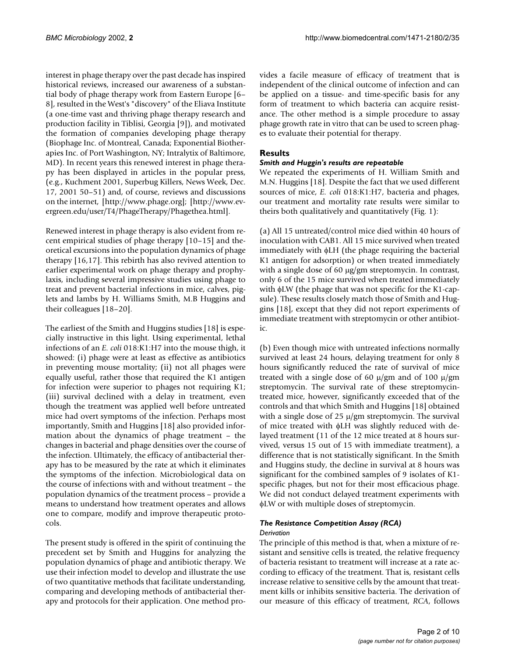[interest in phage therapy over the past decade has inspired](http://www.phage.org) historical reviews, increased our awareness of a substantial body of phage therapy work from Eastern Europe [6– 8], resulted in the West's "discovery" of the Eliava Institute (a one-time vast and thriving phage therapy research and production facility in Tiblisi, Georgia [9]), and motivated the formation of companies developing phage therapy (Biophage Inc. of Montreal, Canada; Exponential Biotherapies Inc. of Port Washington, NY; Intralytix of Baltimore, MD). In recent years this renewed interest in phage therapy has been displayed in articles in the popular press, (e.g., Kuchment 2001, Superbug Killers, News Week, Dec. 17, 2001 50–51) and, of course, reviews and discussions [on the internet, \[http://www.phage.org\]; \[](http://www.phage.org)[http://www.ev](http://www.evergreen.edu/user/T4/PhageTherapy/Phagethea.html)[ergreen.edu/user/T4/PhageTherapy/Phagethea.html\].](http://www.evergreen.edu/user/T4/PhageTherapy/Phagethea.html)

Renewed interest in phage therapy is also evident from recent empirical studies of phage therapy [10–15] and theoretical excursions into the population dynamics of phage therapy [16,17]. This rebirth has also revived attention to earlier experimental work on phage therapy and prophylaxis, including several impressive studies using phage to treat and prevent bacterial infections in mice, calves, piglets and lambs by H. Williams Smith, M.B Huggins and their colleagues [18–20].

The earliest of the Smith and Huggins studies [18] is especially instructive in this light. Using experimental, lethal infections of an *E. coli* 018:K1:H7 into the mouse thigh, it showed: (i) phage were at least as effective as antibiotics in preventing mouse mortality; (ii) not all phages were equally useful, rather those that required the K1 antigen for infection were superior to phages not requiring K1; (iii) survival declined with a delay in treatment, even though the treatment was applied well before untreated mice had overt symptoms of the infection. Perhaps most importantly, Smith and Huggins [18] also provided information about the dynamics of phage treatment – the changes in bacterial and phage densities over the course of the infection. Ultimately, the efficacy of antibacterial therapy has to be measured by the rate at which it eliminates the symptoms of the infection. Microbiological data on the course of infections with and without treatment – the population dynamics of the treatment process – provide a means to understand how treatment operates and allows one to compare, modify and improve therapeutic protocols.

The present study is offered in the spirit of continuing the precedent set by Smith and Huggins for analyzing the population dynamics of phage and antibiotic therapy. We use their infection model to develop and illustrate the use of two quantitative methods that facilitate understanding, comparing and developing methods of antibacterial therapy and protocols for their application. One method provides a facile measure of efficacy of treatment that is independent of the clinical outcome of infection and can be applied on a tissue- and time-specific basis for any form of treatment to which bacteria can acquire resistance. The other method is a simple procedure to assay phage growth rate in vitro that can be used to screen phages to evaluate their potential for therapy.

# **Results**

## *Smith and Huggin's results are repeatable*

We repeated the experiments of H. William Smith and M.N. Huggins [18]. Despite the fact that we used different sources of mice, *E. coli* 018:K1:H7, bacteria and phages, our treatment and mortality rate results were similar to theirs both qualitatively and quantitatively (Fig. [1](#page-2-0)):

(a) All 15 untreated/control mice died within 40 hours of inoculation with CAB1. All 15 mice survived when treated immediately with φLH (the phage requiring the bacterial K1 antigen for adsorption) or when treated immediately with a single dose of 60 µg/gm streptomycin. In contrast, only 6 of the 15 mice survived when treated immediately with φLW (the phage that was not specific for the K1-capsule). These results closely match those of Smith and Huggins [18], except that they did not report experiments of immediate treatment with streptomycin or other antibiotic.

(b) Even though mice with untreated infections normally survived at least 24 hours, delaying treatment for only 8 hours significantly reduced the rate of survival of mice treated with a single dose of 60  $\mu$ /gm and of 100  $\mu$ /gm streptomycin. The survival rate of these streptomycintreated mice, however, significantly exceeded that of the controls and that which Smith and Huggins [18] obtained with a single dose of 25  $\mu$ /gm streptomycin. The survival of mice treated with φLH was slightly reduced with delayed treatment (11 of the 12 mice treated at 8 hours survived, versus 15 out of 15 with immediate treatment), a difference that is not statistically significant. In the Smith and Huggins study, the decline in survival at 8 hours was significant for the combined samples of 9 isolates of K1specific phages, but not for their most efficacious phage. We did not conduct delayed treatment experiments with φLW or with multiple doses of streptomycin.

#### *The Resistance Competition Assay (RCA) Derivation*

The principle of this method is that, when a mixture of resistant and sensitive cells is treated, the relative frequency of bacteria resistant to treatment will increase at a rate according to efficacy of the treatment. That is, resistant cells increase relative to sensitive cells by the amount that treatment kills or inhibits sensitive bacteria. The derivation of our measure of this efficacy of treatment, *RCA*, follows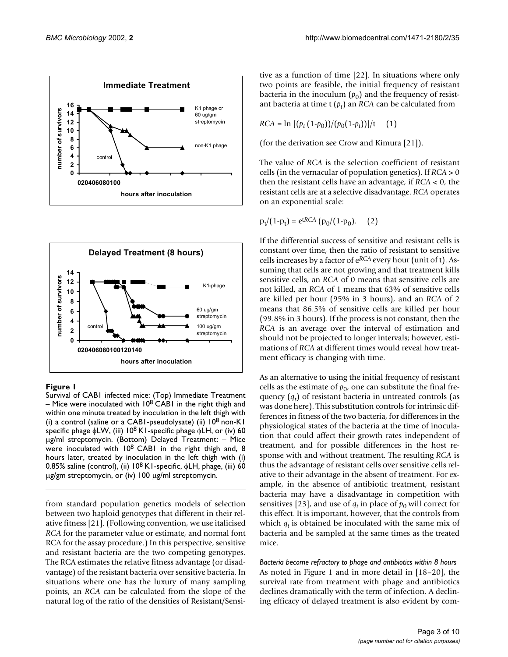



#### <span id="page-2-0"></span>**Figure 1**

Survival of CAB1 infected mice: (Top) Immediate Treatment – Mice were inoculated with  $10^8$  CAB1 in the right thigh and within one minute treated by inoculation in the left thigh with (i) a control (saline or a CAB1-pseudolysate) (ii) 108 non-K1 specific phage  $\phi$ LW, (iii) 10<sup>8</sup> K1-specific phage  $\phi$ LH, or (iv) 60 µg/ml streptomycin. (Bottom) Delayed Treatment: – Mice were inoculated with  $10^8$  CAB1 in the right thigh and, 8 hours later, treated by inoculation in the left thigh with (i) 0.85% saline (control), (ii) 108 K1-specific, φLH, phage, (iii) 60 µg/gm streptomycin, or (iv) 100 µg/ml streptomycin.

from standard population genetics models of selection between two haploid genotypes that different in their relative fitness [21]. (Following convention, we use italicised *RCA* for the parameter value or estimate, and normal font RCA for the assay procedure.) In this perspective, sensitive and resistant bacteria are the two competing genotypes. The RCA estimates the relative fitness advantage (or disadvantage) of the resistant bacteria over sensitive bacteria. In situations where one has the luxury of many sampling points, an *RCA* can be calculated from the slope of the natural log of the ratio of the densities of Resistant/Sensitive as a function of time [22]. In situations where only two points are feasible, the initial frequency of resistant bacteria in the inoculum  $(p_0)$  and the frequency of resistant bacteria at time t  $(p_t)$  an *RCA* can be calculated from

 $RCA = \ln \left[ \frac{p_t (1-p_0)}{p_0 (1-p_t)} \right] / (t \qquad (1))$ 

(for the derivation see Crow and Kimura [21]).

The value of *RCA* is the selection coefficient of resistant cells (in the vernacular of population genetics). If *RCA* > 0 then the resistant cells have an advantage, if *RCA* < 0, the resistant cells are at a selective disadvantage. *RCA* operates on an exponential scale:

$$
p_t/(1-p_t) = e^{tRCA} (p_0/(1-p_0)).
$$
 (2)

If the differential success of sensitive and resistant cells is constant over time, then the ratio of resistant to sensitive cells increases by a factor of e*RCA* every hour (unit of t). Assuming that cells are not growing and that treatment kills sensitive cells, an *RCA* of 0 means that sensitive cells are not killed, an *RCA* of 1 means that 63% of sensitive cells are killed per hour (95% in 3 hours), and an *RCA* of 2 means that 86.5% of sensitive cells are killed per hour (99.8% in 3 hours). If the process is not constant, then the *RCA* is an average over the interval of estimation and should not be projected to longer intervals; however, estimations of *RCA* at different times would reveal how treatment efficacy is changing with time.

As an alternative to using the initial frequency of resistant cells as the estimate of  $p_0$ , one can substitute the final frequency (*qt* ) of resistant bacteria in untreated controls (as was done here). This substitution controls for intrinsic differences in fitness of the two bacteria, for differences in the physiological states of the bacteria at the time of inoculation that could affect their growth rates independent of treatment, and for possible differences in the host response with and without treatment. The resulting *RCA* is thus the advantage of resistant cells over sensitive cells relative to their advantage in the absent of treatment. For example, in the absence of antibiotic treatment, resistant bacteria may have a disadvantage in competition with sensitives [23], and use of  $q_t$  in place of  $p_0$  will correct for this effect. It is important, however, that the controls from which  $q_t$  is obtained be inoculated with the same mix of bacteria and be sampled at the same times as the treated mice.

*Bacteria become refractory to phage and antibiotics within 8 hours* As noted in Figure [1](#page-2-0) and in more detail in [18–20], the survival rate from treatment with phage and antibiotics declines dramatically with the term of infection. A declining efficacy of delayed treatment is also evident by com-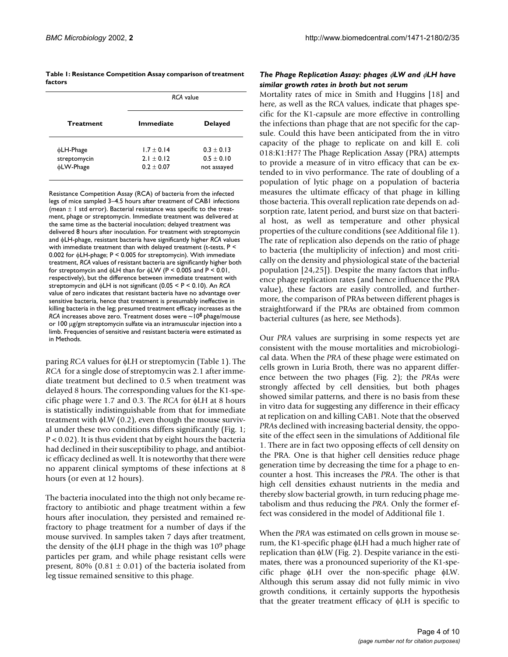| Table 1: Resistance Competition Assay comparison of treatment |  |
|---------------------------------------------------------------|--|
| factors                                                       |  |

|                                        | RCA value                                        |                                             |
|----------------------------------------|--------------------------------------------------|---------------------------------------------|
| <b>Treatment</b>                       | Immediate                                        | <b>Delayed</b>                              |
| φLH-Phage<br>streptomycin<br>φLW-Phage | $1.7 \pm 0.14$<br>$2.1 \pm 0.12$<br>$0.2 + 0.07$ | $0.3 + 0.13$<br>$0.5 + 0.10$<br>not assayed |

Resistance Competition Assay (RCA) of bacteria from the infected legs of mice sampled 3–4.5 hours after treatment of CAB1 infections (mean  $\pm$  1 std error). Bacterial resistance was specific to the treatment, phage or streptomycin. Immediate treatment was delivered at the same time as the bacterial inoculation; delayed treatment was delivered 8 hours after inoculation. For treatment with streptomycin and φLH-phage, resistant bacteria have significantly higher *RCA* values with immediate treatment than with delayed treatment (t-tests, P < 0.002 for φLH-phage; P < 0.005 for streptomycin). With immediate treatment, *RCA* values of resistant bacteria are significantly higher both for streptomycin and φLH than for φLW (P < 0.005 and P < 0.01, respectively), but the difference between immediate treatment with streptomycin and φLH is not significant (0.05 < P < 0.10). An *RCA*  value of zero indicates that resistant bacteria have no advantage over sensitive bacteria, hence that treatment is presumably ineffective in killing bacteria in the leg; presumed treatment efficacy increases as the *RCA* increases above zero. Treatment doses were ~108 phage/mouse or 100 µg/gm streptomycin sulfate via an intramuscular injection into a limb. Frequencies of sensitive and resistant bacteria were estimated as in Methods.

paring *RCA* values for φLH or streptomycin (Table 1). The *RCA* for a single dose of streptomycin was 2.1 after immediate treatment but declined to 0.5 when treatment was delayed 8 hours. The corresponding values for the K1-specific phage were 1.7 and 0.3. The *RCA* for φLH at 8 hours is statistically indistinguishable from that for immediate treatment with φLW (0.2), even though the mouse survival under these two conditions differs significantly (Fig. [1;](#page-2-0) P < 0.02). It is thus evident that by eight hours the bacteria had declined in their susceptibility to phage, and antibiotic efficacy declined as well. It is noteworthy that there were no apparent clinical symptoms of these infections at 8 hours (or even at 12 hours).

The bacteria inoculated into the thigh not only became refractory to antibiotic and phage treatment within a few hours after inoculation, they persisted and remained refractory to phage treatment for a number of days if the mouse survived. In samples taken 7 days after treatment, the density of the  $\phi$ LH phage in the thigh was 10<sup>9</sup> phage particles per gram, and while phage resistant cells were present, 80% (0.81  $\pm$  0.01) of the bacteria isolated from leg tissue remained sensitive to this phage.

#### *The Phage Replication Assay: phages* φ*LW and* φ*LH have similar growth rates in broth but not serum*

Mortality rates of mice in Smith and Huggins [18] and here, as well as the RCA values, indicate that phages specific for the K1-capsule are more effective in controlling the infections than phage that are not specific for the capsule. Could this have been anticipated from the in vitro capacity of the phage to replicate on and kill E. coli 018:K1:H7? The Phage Replication Assay (PRA) attempts to provide a measure of in vitro efficacy that can be extended to in vivo performance. The rate of doubling of a population of lytic phage on a population of bacteria measures the ultimate efficacy of that phage in killing those bacteria. This overall replication rate depends on adsorption rate, latent period, and burst size on that bacterial host, as well as temperature and other physical properties of the culture conditions (see Additional file 1). The rate of replication also depends on the ratio of phage to bacteria (the multiplicity of infection) and most critically on the density and physiological state of the bacterial population [24,25]). Despite the many factors that influence phage replication rates (and hence influence the PRA value), these factors are easily controlled, and furthermore, the comparison of PRAs between different phages is straightforward if the PRAs are obtained from common bacterial cultures (as here, see Methods).

Our *PRA* values are surprising in some respects yet are consistent with the mouse mortalities and microbiological data. When the *PRA* of these phage were estimated on cells grown in Luria Broth, there was no apparent difference between the two phages (Fig. 2); the *PRA*s were strongly affected by cell densities, but both phages showed similar patterns, and there is no basis from these in vitro data for suggesting any difference in their efficacy at replication on and killing CAB1. Note that the observed *PRA*s declined with increasing bacterial density, the opposite of the effect seen in the simulations of Additional file 1. There are in fact two opposing effects of cell density on the PRA. One is that higher cell densities reduce phage generation time by decreasing the time for a phage to encounter a host. This increases the *PRA*. The other is that high cell densities exhaust nutrients in the media and thereby slow bacterial growth, in turn reducing phage metabolism and thus reducing the *PRA*. Only the former effect was considered in the model of Additional file 1.

When the *PRA* was estimated on cells grown in mouse serum, the K1-specific phage φLH had a much higher rate of replication than φLW (Fig. 2). Despite variance in the estimates, there was a pronounced superiority of the K1-specific phage φLH over the non-specific phage φLW. Although this serum assay did not fully mimic in vivo growth conditions, it certainly supports the hypothesis that the greater treatment efficacy of φLH is specific to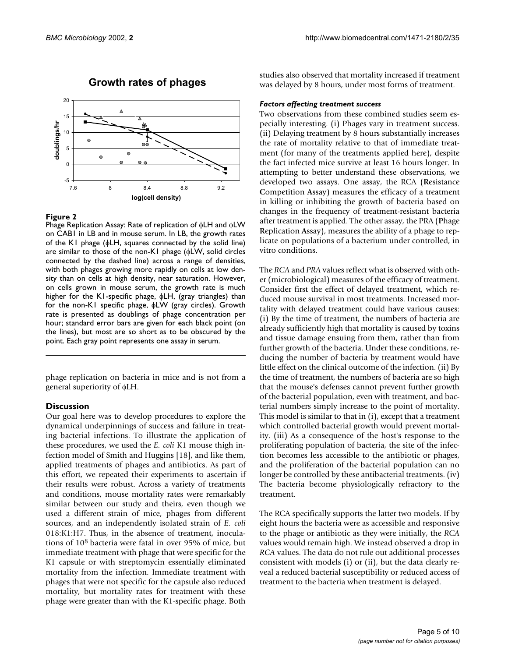

# Growth rates of phages

#### **Figure 2**

Phage Replication Assay: Rate of replication of φLH and φLW on CAB1 in LB and in mouse serum. In LB, the growth rates of the K1 phage (φLH, squares connected by the solid line) are similar to those of the non-K1 phage (φLW, solid circles connected by the dashed line) across a range of densities, with both phages growing more rapidly on cells at low density than on cells at high density, near saturation. However, on cells grown in mouse serum, the growth rate is much higher for the K1-specific phage, φLH, (gray triangles) than for the non-K1 specific phage, φLW (gray circles). Growth rate is presented as doublings of phage concentration per hour; standard error bars are given for each black point (on the lines), but most are so short as to be obscured by the point. Each gray point represents one assay in serum.

phage replication on bacteria in mice and is not from a general superiority of φLH.

#### **Discussion**

Our goal here was to develop procedures to explore the dynamical underpinnings of success and failure in treating bacterial infections. To illustrate the application of these procedures, we used the *E. coli* K1 mouse thigh infection model of Smith and Huggins [18], and like them, applied treatments of phages and antibiotics. As part of this effort, we repeated their experiments to ascertain if their results were robust. Across a variety of treatments and conditions, mouse mortality rates were remarkably similar between our study and theirs, even though we used a different strain of mice, phages from different sources, and an independently isolated strain of *E. coli* 018:K1:H7. Thus, in the absence of treatment, inoculations of 108 bacteria were fatal in over 95% of mice, but immediate treatment with phage that were specific for the K1 capsule or with streptomycin essentially eliminated mortality from the infection. Immediate treatment with phages that were not specific for the capsule also reduced mortality, but mortality rates for treatment with these phage were greater than with the K1-specific phage. Both studies also observed that mortality increased if treatment was delayed by 8 hours, under most forms of treatment.

#### *Factors affecting treatment success*

Two observations from these combined studies seem especially interesting. (i) Phages vary in treatment success. (ii) Delaying treatment by 8 hours substantially increases the rate of mortality relative to that of immediate treatment (for many of the treatments applied here), despite the fact infected mice survive at least 16 hours longer. In attempting to better understand these observations, we developed two assays. One assay, the RCA (**R**esistance **C**ompetition **A**ssay) measures the efficacy of a treatment in killing or inhibiting the growth of bacteria based on changes in the frequency of treatment-resistant bacteria after treatment is applied. The other assay, the PRA (**P**hage **R**eplication **A**ssay), measures the ability of a phage to replicate on populations of a bacterium under controlled, in vitro conditions.

The *RCA* and *PRA* values reflect what is observed with other (microbiological) measures of the efficacy of treatment. Consider first the effect of delayed treatment, which reduced mouse survival in most treatments. Increased mortality with delayed treatment could have various causes: (i) By the time of treatment, the numbers of bacteria are already sufficiently high that mortality is caused by toxins and tissue damage ensuing from them, rather than from further growth of the bacteria. Under these conditions, reducing the number of bacteria by treatment would have little effect on the clinical outcome of the infection. (ii) By the time of treatment, the numbers of bacteria are so high that the mouse's defenses cannot prevent further growth of the bacterial population, even with treatment, and bacterial numbers simply increase to the point of mortality. This model is similar to that in (i), except that a treatment which controlled bacterial growth would prevent mortality. (iii) As a consequence of the host's response to the proliferating population of bacteria, the site of the infection becomes less accessible to the antibiotic or phages, and the proliferation of the bacterial population can no longer be controlled by these antibacterial treatments. (iv) The bacteria become physiologically refractory to the treatment.

The RCA specifically supports the latter two models. If by eight hours the bacteria were as accessible and responsive to the phage or antibiotic as they were initially, the *RCA* values would remain high. We instead observed a drop in *RCA* values. The data do not rule out additional processes consistent with models (i) or (ii), but the data clearly reveal a reduced bacterial susceptibility or reduced access of treatment to the bacteria when treatment is delayed.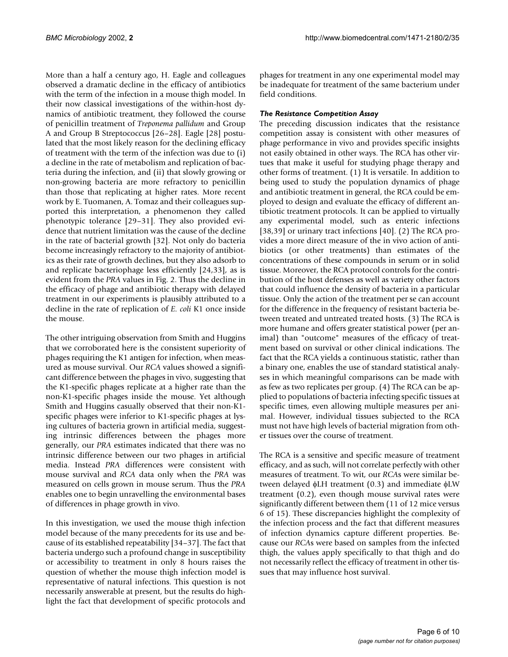More than a half a century ago, H. Eagle and colleagues observed a dramatic decline in the efficacy of antibiotics with the term of the infection in a mouse thigh model. In their now classical investigations of the within-host dynamics of antibiotic treatment, they followed the course of penicillin treatment of *Treponema pallidum* and Group A and Group B Streptococcus [26–28]. Eagle [28] postulated that the most likely reason for the declining efficacy of treatment with the term of the infection was due to (i) a decline in the rate of metabolism and replication of bacteria during the infection, and (ii) that slowly growing or non-growing bacteria are more refractory to penicillin than those that replicating at higher rates. More recent work by E. Tuomanen, A. Tomaz and their colleagues supported this interpretation, a phenomenon they called phenotypic tolerance [29–31]. They also provided evidence that nutrient limitation was the cause of the decline in the rate of bacterial growth [32]. Not only do bacteria become increasingly refractory to the majority of antibiotics as their rate of growth declines, but they also adsorb to and replicate bacteriophage less efficiently [24,33], as is evident from the *PRA* values in Fig. 2. Thus the decline in the efficacy of phage and antibiotic therapy with delayed treatment in our experiments is plausibly attributed to a decline in the rate of replication of *E. coli* K1 once inside the mouse.

The other intriguing observation from Smith and Huggins that we corroborated here is the consistent superiority of phages requiring the K1 antigen for infection, when measured as mouse survival. Our *RCA* values showed a significant difference between the phages in vivo, suggesting that the K1-specific phages replicate at a higher rate than the non-K1-specific phages inside the mouse. Yet although Smith and Huggins casually observed that their non-K1 specific phages were inferior to K1-specific phages at lysing cultures of bacteria grown in artificial media, suggesting intrinsic differences between the phages more generally, our *PRA* estimates indicated that there was no intrinsic difference between our two phages in artificial media. Instead *PRA* differences were consistent with mouse survival and *RCA* data only when the *PRA* was measured on cells grown in mouse serum. Thus the *PRA* enables one to begin unravelling the environmental bases of differences in phage growth in vivo.

In this investigation, we used the mouse thigh infection model because of the many precedents for its use and because of its established repeatability [34–37]. The fact that bacteria undergo such a profound change in susceptibility or accessibility to treatment in only 8 hours raises the question of whether the mouse thigh infection model is representative of natural infections. This question is not necessarily answerable at present, but the results do highlight the fact that development of specific protocols and

phages for treatment in any one experimental model may be inadequate for treatment of the same bacterium under field conditions.

# *The Resistance Competition Assay*

The preceding discussion indicates that the resistance competition assay is consistent with other measures of phage performance in vivo and provides specific insights not easily obtained in other ways. The RCA has other virtues that make it useful for studying phage therapy and other forms of treatment. (1) It is versatile. In addition to being used to study the population dynamics of phage and antibiotic treatment in general, the RCA could be employed to design and evaluate the efficacy of different antibiotic treatment protocols. It can be applied to virtually any experimental model, such as enteric infections [38,39] or urinary tract infections [40]. (2) The RCA provides a more direct measure of the in vivo action of antibiotics (or other treatments) than estimates of the concentrations of these compounds in serum or in solid tissue. Moreover, the RCA protocol controls for the contribution of the host defenses as well as variety other factors that could influence the density of bacteria in a particular tissue. Only the action of the treatment per se can account for the difference in the frequency of resistant bacteria between treated and untreated treated hosts. (3) The RCA is more humane and offers greater statistical power (per animal) than "outcome" measures of the efficacy of treatment based on survival or other clinical indications. The fact that the RCA yields a continuous statistic, rather than a binary one, enables the use of standard statistical analyses in which meaningful comparisons can be made with as few as two replicates per group. (4) The RCA can be applied to populations of bacteria infecting specific tissues at specific times, even allowing multiple measures per animal. However, individual tissues subjected to the RCA must not have high levels of bacterial migration from other tissues over the course of treatment.

The RCA is a sensitive and specific measure of treatment efficacy, and as such, will not correlate perfectly with other measures of treatment. To wit, our *RCA*s were similar between delayed φLH treatment (0.3) and immediate φLW treatment (0.2), even though mouse survival rates were significantly different between them (11 of 12 mice versus 6 of 15). These discrepancies highlight the complexity of the infection process and the fact that different measures of infection dynamics capture different properties. Because our *RCA*s were based on samples from the infected thigh, the values apply specifically to that thigh and do not necessarily reflect the efficacy of treatment in other tissues that may influence host survival.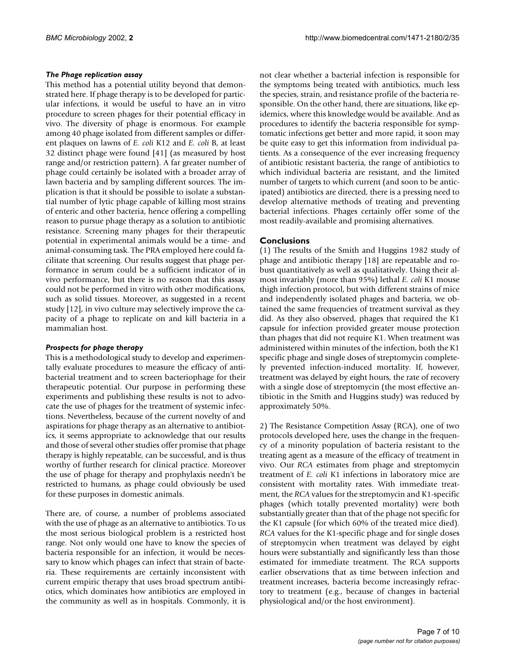#### *The Phage replication assay*

This method has a potential utility beyond that demonstrated here. If phage therapy is to be developed for particular infections, it would be useful to have an in vitro procedure to screen phages for their potential efficacy in vivo. The diversity of phage is enormous. For example among 40 phage isolated from different samples or different plaques on lawns of *E. coli* K12 and *E. coli* B, at least 32 distinct phage were found [41] (as measured by host range and/or restriction pattern). A far greater number of phage could certainly be isolated with a broader array of lawn bacteria and by sampling different sources. The implication is that it should be possible to isolate a substantial number of lytic phage capable of killing most strains of enteric and other bacteria, hence offering a compelling reason to pursue phage therapy as a solution to antibiotic resistance. Screening many phages for their therapeutic potential in experimental animals would be a time- and animal-consuming task. The PRA employed here could facilitate that screening. Our results suggest that phage performance in serum could be a sufficient indicator of in vivo performance, but there is no reason that this assay could not be performed in vitro with other modifications, such as solid tissues. Moreover, as suggested in a recent study [12], in vivo culture may selectively improve the capacity of a phage to replicate on and kill bacteria in a mammalian host.

### *Prospects for phage therapy*

This is a methodological study to develop and experimentally evaluate procedures to measure the efficacy of antibacterial treatment and to screen bacteriophage for their therapeutic potential. Our purpose in performing these experiments and publishing these results is not to advocate the use of phages for the treatment of systemic infections. Nevertheless, because of the current novelty of and aspirations for phage therapy as an alternative to antibiotics, it seems appropriate to acknowledge that our results and those of several other studies offer promise that phage therapy is highly repeatable, can be successful, and is thus worthy of further research for clinical practice. Moreover the use of phage for therapy and prophylaxis needn't be restricted to humans, as phage could obviously be used for these purposes in domestic animals.

There are, of course, a number of problems associated with the use of phage as an alternative to antibiotics. To us the most serious biological problem is a restricted host range. Not only would one have to know the species of bacteria responsible for an infection, it would be necessary to know which phages can infect that strain of bacteria. These requirements are certainly inconsistent with current empiric therapy that uses broad spectrum antibiotics, which dominates how antibiotics are employed in the community as well as in hospitals. Commonly, it is not clear whether a bacterial infection is responsible for the symptoms being treated with antibiotics, much less the species, strain, and resistance profile of the bacteria responsible. On the other hand, there are situations, like epidemics, where this knowledge would be available. And as procedures to identify the bacteria responsible for symptomatic infections get better and more rapid, it soon may be quite easy to get this information from individual patients. As a consequence of the ever increasing frequency of antibiotic resistant bacteria, the range of antibiotics to which individual bacteria are resistant, and the limited number of targets to which current (and soon to be anticipated) antibiotics are directed, there is a pressing need to develop alternative methods of treating and preventing bacterial infections. Phages certainly offer some of the most readily-available and promising alternatives.

### **Conclusions**

(1) The results of the Smith and Huggins 1982 study of phage and antibiotic therapy [18] are repeatable and robust quantitatively as well as qualitatively. Using their almost invariably (more than 95%) lethal *E. coli* K1 mouse thigh infection protocol, but with different strains of mice and independently isolated phages and bacteria, we obtained the same frequencies of treatment survival as they did. As they also observed, phages that required the K1 capsule for infection provided greater mouse protection than phages that did not require K1. When treatment was administered within minutes of the infection, both the K1 specific phage and single doses of streptomycin completely prevented infection-induced mortality. If, however, treatment was delayed by eight hours, the rate of recovery with a single dose of streptomycin (the most effective antibiotic in the Smith and Huggins study) was reduced by approximately 50%.

2) The Resistance Competition Assay (RCA), one of two protocols developed here, uses the change in the frequency of a minority population of bacteria resistant to the treating agent as a measure of the efficacy of treatment in vivo. Our *RCA* estimates from phage and streptomycin treatment of *E. coli* K1 infections in laboratory mice are consistent with mortality rates. With immediate treatment, the *RCA* values for the streptomycin and K1-specific phages (which totally prevented mortality) were both substantially greater than that of the phage not specific for the K1 capsule (for which 60% of the treated mice died). *RCA* values for the K1-specific phage and for single doses of streptomycin when treatment was delayed by eight hours were substantially and significantly less than those estimated for immediate treatment. The RCA supports earlier observations that as time between infection and treatment increases, bacteria become increasingly refractory to treatment (e.g., because of changes in bacterial physiological and/or the host environment).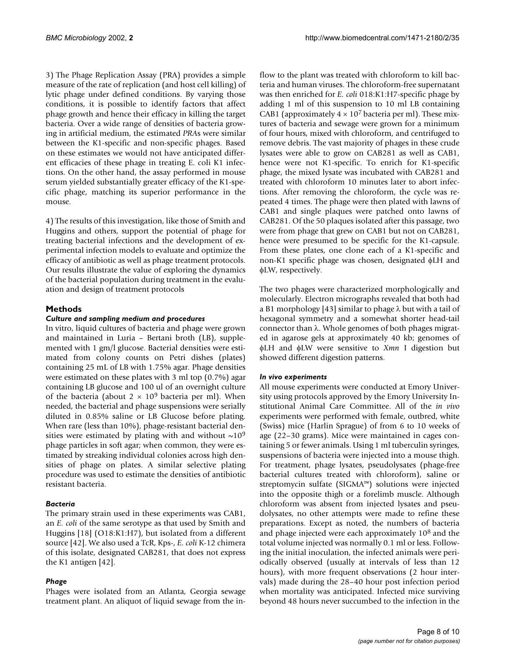3) The Phage Replication Assay (PRA) provides a simple measure of the rate of replication (and host cell killing) of lytic phage under defined conditions. By varying those conditions, it is possible to identify factors that affect phage growth and hence their efficacy in killing the target bacteria. Over a wide range of densities of bacteria growing in artificial medium, the estimated *PRA*s were similar between the K1-specific and non-specific phages. Based on these estimates we would not have anticipated different efficacies of these phage in treating E. coli K1 infections. On the other hand, the assay performed in mouse serum yielded substantially greater efficacy of the K1-specific phage, matching its superior performance in the mouse.

4) The results of this investigation, like those of Smith and Huggins and others, support the potential of phage for treating bacterial infections and the development of experimental infection models to evaluate and optimize the efficacy of antibiotic as well as phage treatment protocols. Our results illustrate the value of exploring the dynamics of the bacterial population during treatment in the evaluation and design of treatment protocols

### **Methods**

#### *Culture and sampling medium and procedures*

In vitro, liquid cultures of bacteria and phage were grown and maintained in Luria – Bertani broth (LB), supplemented with 1 gm/l glucose. Bacterial densities were estimated from colony counts on Petri dishes (plates) containing 25 mL of LB with 1.75% agar. Phage densities were estimated on these plates with 3 ml top (0.7%) agar containing LB glucose and 100 ul of an overnight culture of the bacteria (about  $2 \times 10^9$  bacteria per ml). When needed, the bacterial and phage suspensions were serially diluted in 0.85% saline or LB Glucose before plating. When rare (less than 10%), phage-resistant bacterial densities were estimated by plating with and without  $\sim 10^9$ phage particles in soft agar; when common, they were estimated by streaking individual colonies across high densities of phage on plates. A similar selective plating procedure was used to estimate the densities of antibiotic resistant bacteria.

### *Bacteria*

The primary strain used in these experiments was CAB1, an *E. coli* of the same serotype as that used by Smith and Huggins [18] (O18:K1:H7), but isolated from a different source [42]. We also used a TcR, Kps-, *E. coli* K-12 chimera of this isolate, designated CAB281, that does not express the K1 antigen [42].

### *Phage*

Phages were isolated from an Atlanta, Georgia sewage treatment plant. An aliquot of liquid sewage from the inflow to the plant was treated with chloroform to kill bacteria and human viruses. The chloroform-free supernatant was then enriched for *E. coli* 018:K1:H7-specific phage by adding 1 ml of this suspension to 10 ml LB containing CAB1 (approximately  $4 \times 10^7$  bacteria per ml). These mixtures of bacteria and sewage were grown for a minimum of four hours, mixed with chloroform, and centrifuged to remove debris. The vast majority of phages in these crude lysates were able to grow on CAB281 as well as CAB1, hence were not K1-specific. To enrich for K1-specific phage, the mixed lysate was incubated with CAB281 and treated with chloroform 10 minutes later to abort infections. After removing the chloroform, the cycle was repeated 4 times. The phage were then plated with lawns of CAB1 and single plaques were patched onto lawns of CAB281. Of the 50 plaques isolated after this passage, two were from phage that grew on CAB1 but not on CAB281, hence were presumed to be specific for the K1-capsule. From these plates, one clone each of a K1-specific and non-K1 specific phage was chosen, designated φLH and φLW, respectively.

The two phages were characterized morphologically and molecularly. Electron micrographs revealed that both had a B1 morphology [43] similar to phage λ but with a tail of hexagonal symmetry and a somewhat shorter head-tail connector than λ. Whole genomes of both phages migrated in agarose gels at approximately 40 kb; genomes of φLH and φLW were sensitive to *Xmn* I digestion but showed different digestion patterns.

#### *In vivo experiments*

All mouse experiments were conducted at Emory University using protocols approved by the Emory University Institutional Animal Care Committee. All of the *in vivo* experiments were performed with female, outbred, white (Swiss) mice (Harlin Sprague) of from 6 to 10 weeks of age (22–30 grams). Mice were maintained in cages containing 5 or fewer animals. Using 1 ml tuberculin syringes, suspensions of bacteria were injected into a mouse thigh. For treatment, phage lysates, pseudolysates (phage-free bacterial cultures treated with chloroform), saline or streptomycin sulfate (SIGMA™) solutions were injected into the opposite thigh or a forelimb muscle. Although chloroform was absent from injected lysates and pseudolysates, no other attempts were made to refine these preparations. Except as noted, the numbers of bacteria and phage injected were each approximately 108 and the total volume injected was normally 0.1 ml or less. Following the initial inoculation, the infected animals were periodically observed (usually at intervals of less than 12 hours), with more frequent observations (2 hour intervals) made during the 28–40 hour post infection period when mortality was anticipated. Infected mice surviving beyond 48 hours never succumbed to the infection in the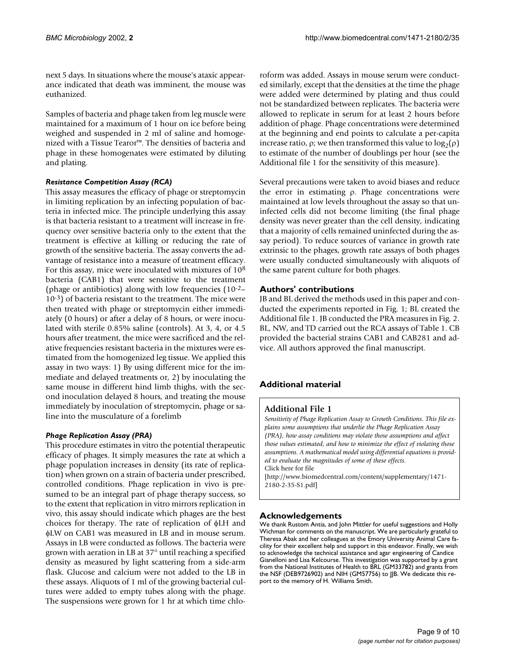next 5 days. In situations where the mouse's ataxic appearance indicated that death was imminent, the mouse was euthanized.

Samples of bacteria and phage taken from leg muscle were maintained for a maximum of 1 hour on ice before being weighed and suspended in 2 ml of saline and homogenized with a Tissue Tearor™. The densities of bacteria and phage in these homogenates were estimated by diluting and plating.

## *Resistance Competition Assay (RCA)*

This assay measures the efficacy of phage or streptomycin in limiting replication by an infecting population of bacteria in infected mice. The principle underlying this assay is that bacteria resistant to a treatment will increase in frequency over sensitive bacteria only to the extent that the treatment is effective at killing or reducing the rate of growth of the sensitive bacteria. The assay converts the advantage of resistance into a measure of treatment efficacy. For this assay, mice were inoculated with mixtures of 108 bacteria (CAB1) that were sensitive to the treatment (phage or antibiotics) along with low frequencies (10-2– 10-3) of bacteria resistant to the treatment. The mice were then treated with phage or streptomycin either immediately (0 hours) or after a delay of 8 hours, or were inoculated with sterile 0.85% saline (controls). At 3, 4, or 4.5 hours after treatment, the mice were sacrificed and the relative frequencies resistant bacteria in the mixtures were estimated from the homogenized leg tissue. We applied this assay in two ways: 1) By using different mice for the immediate and delayed treatments or, 2) by inoculating the same mouse in different hind limb thighs, with the second inoculation delayed 8 hours, and treating the mouse immediately by inoculation of streptomycin, phage or saline into the musculature of a forelimb

### *Phage Replication Assay (PRA)*

This procedure estimates in vitro the potential therapeutic efficacy of phages. It simply measures the rate at which a phage population increases in density (its rate of replication) when grown on a strain of bacteria under prescribed, controlled conditions. Phage replication in vivo is presumed to be an integral part of phage therapy success, so to the extent that replication in vitro mirrors replication in vivo, this assay should indicate which phages are the best choices for therapy. The rate of replication of φLH and φLW on CAB1 was measured in LB and in mouse serum. Assays in LB were conducted as follows. The bacteria were grown with aeration in LB at 37° until reaching a specified density as measured by light scattering from a side-arm flask. Glucose and calcium were not added to the LB in these assays. Aliquots of 1 ml of the growing bacterial cultures were added to empty tubes along with the phage. The suspensions were grown for 1 hr at which time chloroform was added. Assays in mouse serum were conducted similarly, except that the densities at the time the phage were added were determined by plating and thus could not be standardized between replicates. The bacteria were allowed to replicate in serum for at least 2 hours before addition of phage. Phage concentrations were determined at the beginning and end points to calculate a per-capita increase ratio,  $ρ$ ; we then transformed this value to  $log_2(ρ)$ to estimate of the number of doublings per hour (see the Additional file 1 for the sensitivity of this measure).

Several precautions were taken to avoid biases and reduce the error in estimating ρ. Phage concentrations were maintained at low levels throughout the assay so that uninfected cells did not become limiting (the final phage density was never greater than the cell density, indicating that a majority of cells remained uninfected during the assay period). To reduce sources of variance in growth rate extrinsic to the phages, growth rate assays of both phages were usually conducted simultaneously with aliquots of the same parent culture for both phages.

# **Authors' contributions**

JB and BL derived the methods used in this paper and conducted the experiments reported in Fig. [1;](#page-2-0) BL created the Additional file 1. JB conducted the PRA measures in Fig. 2. BL, NW, and TD carried out the RCA assays of Table 1. CB provided the bacterial strains CAB1 and CAB281 and advice. All authors approved the final manuscript.

# **Additional material**

### **Additional File 1**

*Sensitivity of Phage Replication Assay to Growth Conditions. This file explains some assumptions that underlie the Phage Replication Assay (PRA), how assay conditions may violate those assumptions and affect those values estimated, and how to minimize the effect of violating those assumptions. A mathematical model using differential equations is provided to evaluate the magnitudes of some of these effects.* [Click here for file](http://www.biomedcentral.com/content/supplementary/1471-2180-2-35-S1.pdf) [\[http://www.biomedcentral.com/content/supplementary/1471-](http://www.biomedcentral.com/content/supplementary/1471-2180-2-35-S1.pdf)

## **Acknowledgements**

2180-2-35-S1.pdf]

We thank Rustom Antia, and John Mittler for useful suggestions and Holly Wichman for comments on the manuscript. We are particularly grateful to Theresa Abak and her colleagues at the Emory University Animal Care facility for their excellent help and support in this endeavor. Finally, we wish to acknowledge the technical assistance and agar engineering of Candice Gianelloni and Lisa Kelcourse. This investigation was supported by a grant from the National Institutes of Health to BRL (GM33782) and grants from the NSF (DEB9726902) and NIH (GM57756) to JJB. We dedicate this report to the memory of H. Williams Smith.